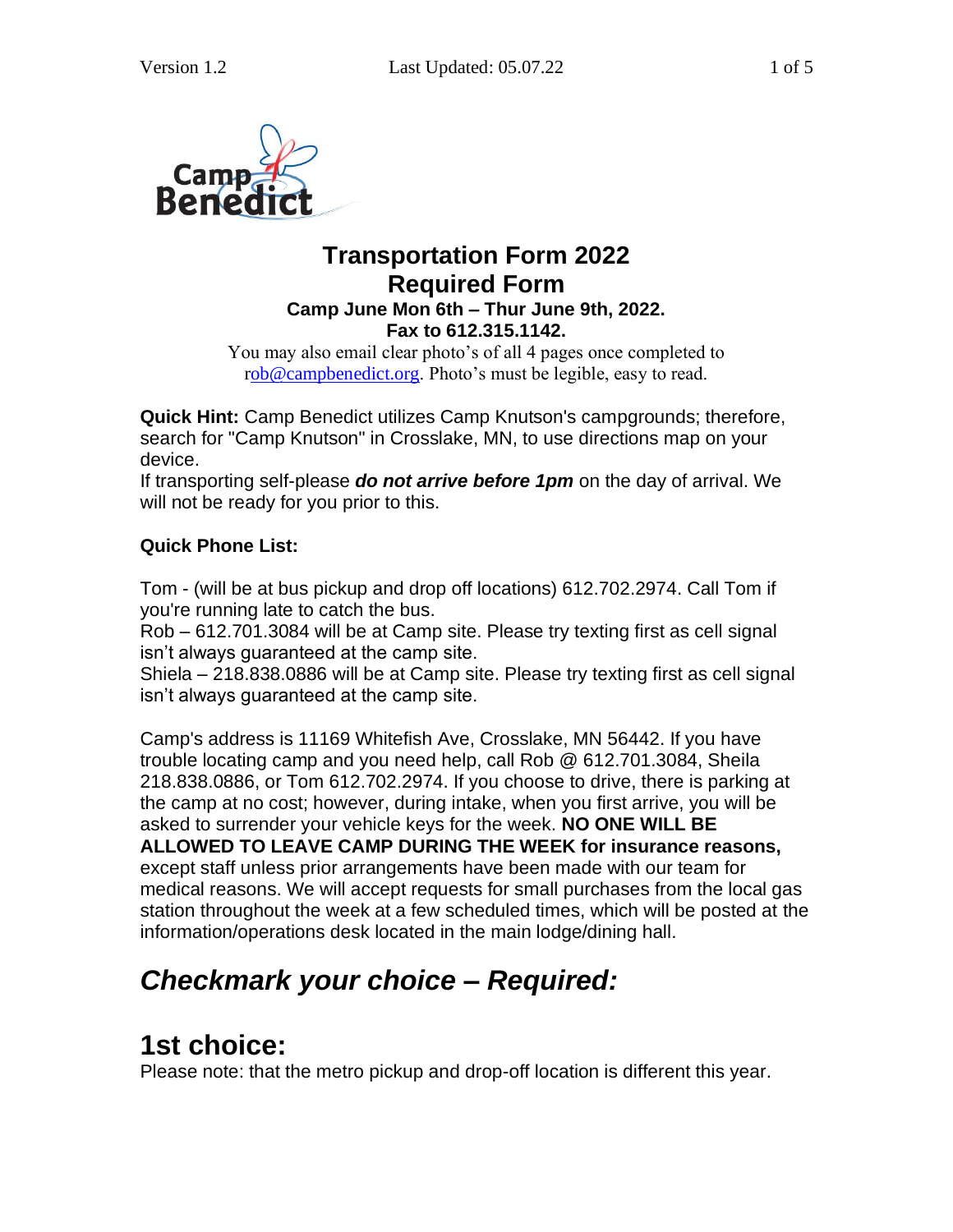

#### **Transportation Form 2022 Required Form Camp June Mon 6th – Thur June 9th, 2022. Fax to 612.315.1142.**

You may also email clear photo's of all 4 pages once completed to [rob@campbenedict.org.](mailto:Rob@campbenedict.org) Photo's must be legible, easy to read.

**Quick Hint:** Camp Benedict utilizes Camp Knutson's campgrounds; therefore, search for "Camp Knutson" in Crosslake, MN, to use directions map on your device.

If transporting self-please *do not arrive before 1pm* on the day of arrival. We will not be ready for you prior to this.

#### **Quick Phone List:**

Tom - (will be at bus pickup and drop off locations) 612.702.2974. Call Tom if you're running late to catch the bus.

Rob – 612.701.3084 will be at Camp site. Please try texting first as cell signal isn't always guaranteed at the camp site.

Shiela – 218.838.0886 will be at Camp site. Please try texting first as cell signal isn't always guaranteed at the camp site.

Camp's address is 11169 Whitefish Ave, Crosslake, MN 56442. If you have trouble locating camp and you need help, call Rob @ 612.701.3084, Sheila 218.838.0886, or Tom 612.702.2974. If you choose to drive, there is parking at the camp at no cost; however, during intake, when you first arrive, you will be asked to surrender your vehicle keys for the week. **NO ONE WILL BE ALLOWED TO LEAVE CAMP DURING THE WEEK for insurance reasons,** except staff unless prior arrangements have been made with our team for medical reasons. We will accept requests for small purchases from the local gas station throughout the week at a few scheduled times, which will be posted at the information/operations desk located in the main lodge/dining hall.

## *Checkmark your choice – Required:*

## **1st choice:**

Please note: that the metro pickup and drop-off location is different this year.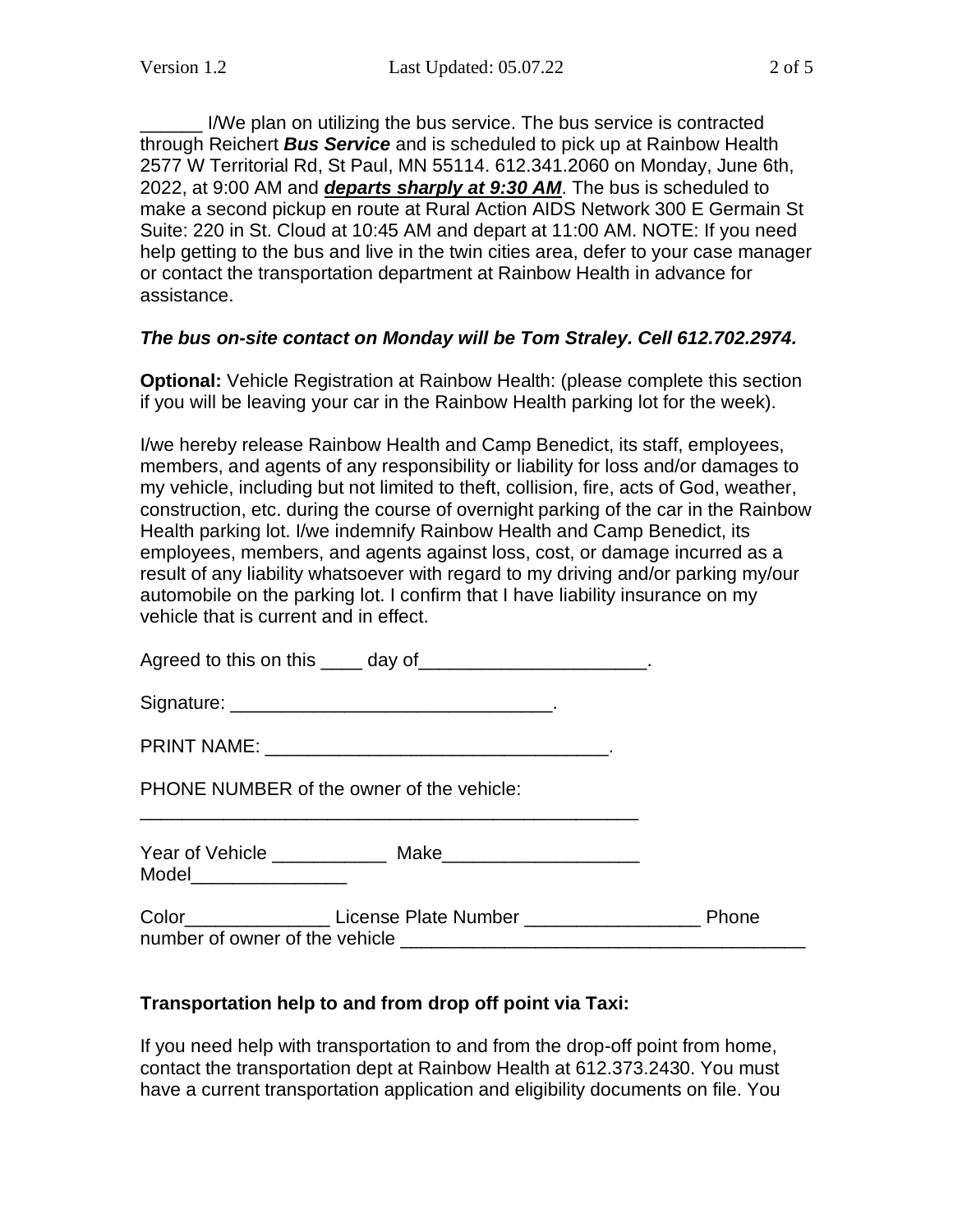\_\_\_\_\_\_ I/We plan on utilizing the bus service. The bus service is contracted through Reichert *Bus Service* and is scheduled to pick up at Rainbow Health 2577 W Territorial Rd, St Paul, MN 55114. 612.341.2060 on Monday, June 6th, 2022, at 9:00 AM and *departs sharply at 9:30 AM*. The bus is scheduled to make a second pickup en route at Rural Action AIDS Network 300 E Germain St Suite: 220 in St. Cloud at 10:45 AM and depart at 11:00 AM. NOTE: If you need help getting to the bus and live in the twin cities area, defer to your case manager or contact the transportation department at Rainbow Health in advance for assistance.

#### *The bus on-site contact on Monday will be Tom Straley. Cell 612.702.2974.*

**Optional:** Vehicle Registration at Rainbow Health: (please complete this section if you will be leaving your car in the Rainbow Health parking lot for the week).

I/we hereby release Rainbow Health and Camp Benedict, its staff, employees, members, and agents of any responsibility or liability for loss and/or damages to my vehicle, including but not limited to theft, collision, fire, acts of God, weather, construction, etc. during the course of overnight parking of the car in the Rainbow Health parking lot. I/we indemnify Rainbow Health and Camp Benedict, its employees, members, and agents against loss, cost, or damage incurred as a result of any liability whatsoever with regard to my driving and/or parking my/our automobile on the parking lot. I confirm that I have liability insurance on my vehicle that is current and in effect.

Agreed to this on this day of the state of the state of the state of the state of the state of the state of the state of the state of the state of the state of the state of the state of the state of the state of the state

Signature: \_\_\_\_\_\_\_\_\_\_\_\_\_\_\_\_\_\_\_\_\_\_\_\_\_\_\_\_\_\_\_.

PRINT NAME: The contract of the contract of the contract of the contract of the contract of the contract of the contract of the contract of the contract of the contract of the contract of the contract of the contract of th

PHONE NUMBER of the owner of the vehicle:

Year of Vehicle \_\_\_\_\_\_\_\_\_\_\_ Make\_\_\_\_\_\_\_\_\_\_\_\_\_\_\_\_\_\_\_

\_\_\_\_\_\_\_\_\_\_\_\_\_\_\_\_\_\_\_\_\_\_\_\_\_\_\_\_\_\_\_\_\_\_\_\_\_\_\_\_\_\_\_\_\_\_\_\_

Model\_\_\_\_\_\_\_\_\_\_\_\_\_\_\_

Color **Color License Plate Number Color Phone** number of owner of the vehicle

#### **Transportation help to and from drop off point via Taxi:**

If you need help with transportation to and from the drop-off point from home, contact the transportation dept at Rainbow Health at 612.373.2430. You must have a current transportation application and eligibility documents on file. You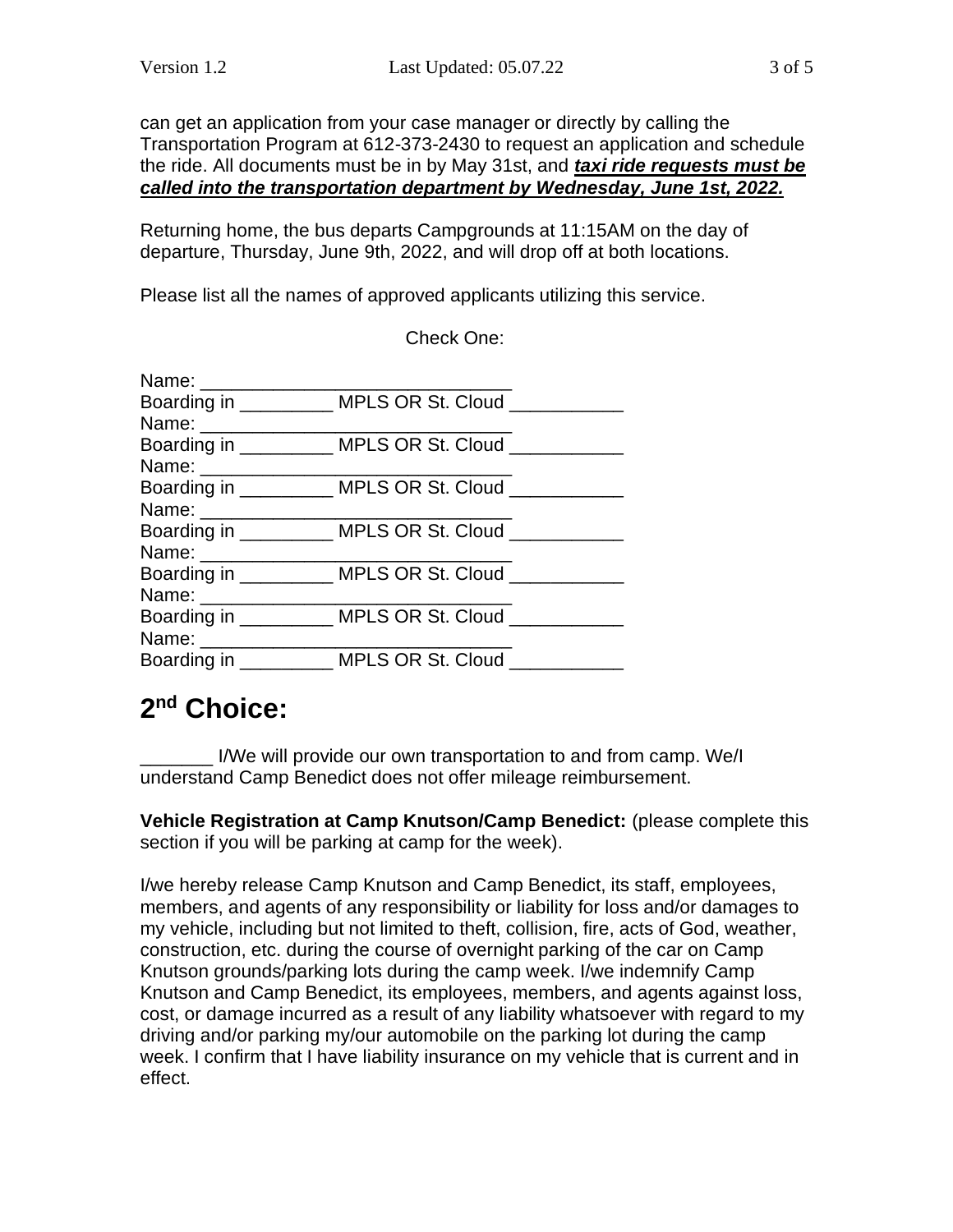can get an application from your case manager or directly by calling the Transportation Program at 612-373-2430 to request an application and schedule the ride. All documents must be in by May 31st, and *taxi ride requests must be called into the transportation department by Wednesday, June 1st, 2022.*

Returning home, the bus departs Campgrounds at 11:15AM on the day of departure, Thursday, June 9th, 2022, and will drop off at both locations.

Check One:

Please list all the names of approved applicants utilizing this service.

|                                  | Boarding in __________ MPLS OR St. Cloud ___________   |  |
|----------------------------------|--------------------------------------------------------|--|
| Name: __________________________ |                                                        |  |
|                                  | Boarding in __________ MPLS OR St. Cloud ___________   |  |
|                                  |                                                        |  |
|                                  | Boarding in ___________ MPLS OR St. Cloud ___________  |  |
|                                  |                                                        |  |
|                                  | Boarding in __________ MPLS OR St. Cloud __________    |  |
| Name: _________________          |                                                        |  |
|                                  | Boarding in ___________ MPLS OR St. Cloud ____________ |  |
| Name: __________________________ |                                                        |  |
|                                  | Boarding in __________ MPLS OR St. Cloud ___________   |  |
| Name: ___________________        |                                                        |  |
|                                  | Boarding in _________ MPLS OR St. Cloud _____          |  |

### **2 nd Choice:**

I/We will provide our own transportation to and from camp. We/I understand Camp Benedict does not offer mileage reimbursement.

**Vehicle Registration at Camp Knutson/Camp Benedict:** (please complete this section if you will be parking at camp for the week).

I/we hereby release Camp Knutson and Camp Benedict, its staff, employees, members, and agents of any responsibility or liability for loss and/or damages to my vehicle, including but not limited to theft, collision, fire, acts of God, weather, construction, etc. during the course of overnight parking of the car on Camp Knutson grounds/parking lots during the camp week. I/we indemnify Camp Knutson and Camp Benedict, its employees, members, and agents against loss, cost, or damage incurred as a result of any liability whatsoever with regard to my driving and/or parking my/our automobile on the parking lot during the camp week. I confirm that I have liability insurance on my vehicle that is current and in effect.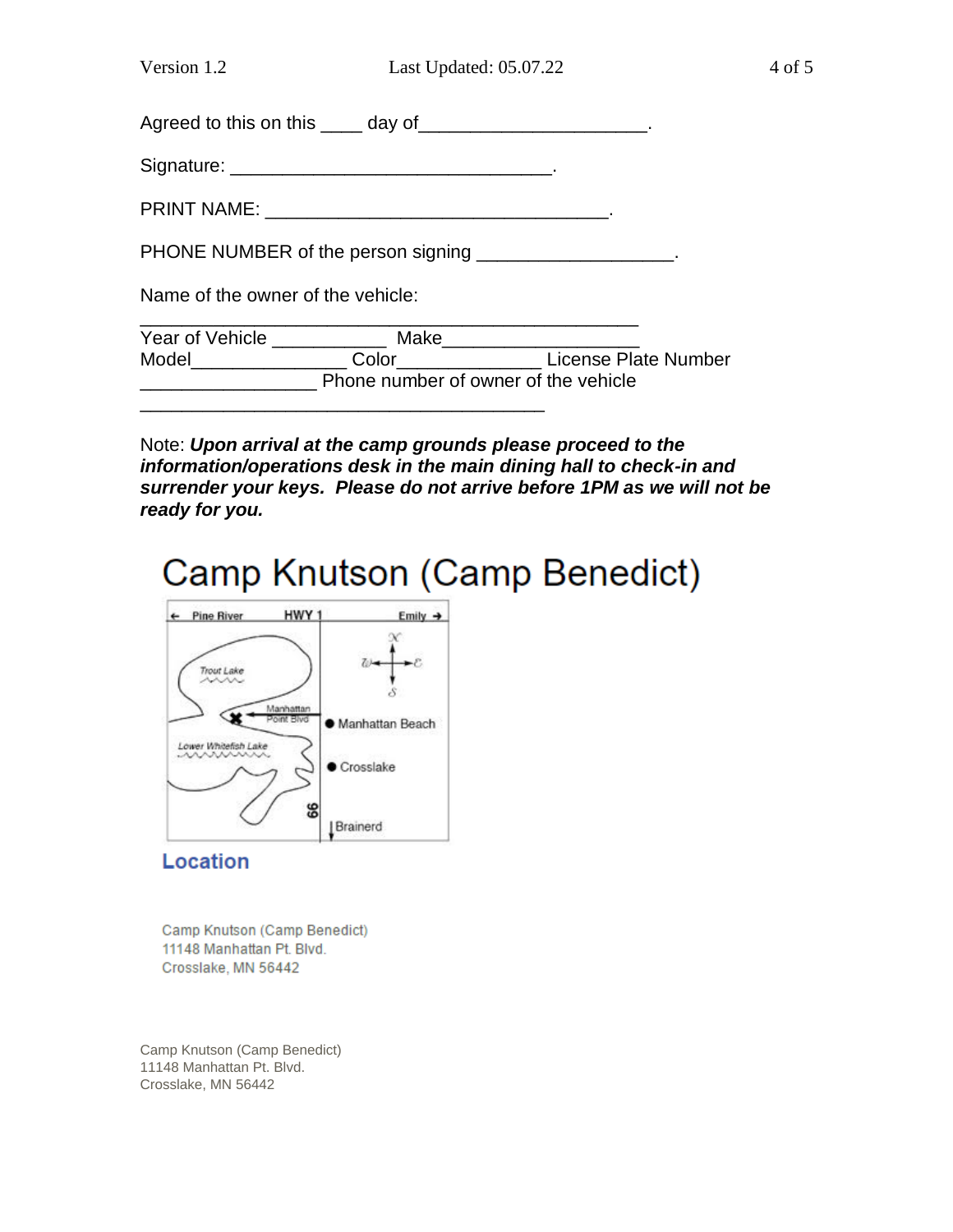Agreed to this on this \_\_\_\_ day of\_\_\_\_\_\_\_\_\_\_\_\_\_\_\_\_\_\_\_\_\_.

Signature: \_\_\_\_\_\_\_\_\_\_\_\_\_\_\_\_\_\_\_\_\_\_\_\_\_\_\_\_\_\_\_.

PRINT NAME: \_\_\_\_\_\_\_\_\_\_\_\_\_\_\_\_\_\_\_\_\_\_\_\_\_\_\_\_\_\_\_\_\_.

PHONE NUMBER of the person signing \_\_\_\_\_\_\_\_\_\_\_\_\_\_\_\_\_\_.

Name of the owner of the vehicle:

| Year of Vehicle | Make                                 |                      |
|-----------------|--------------------------------------|----------------------|
| Model           | Color                                | License Plate Number |
|                 | Phone number of owner of the vehicle |                      |

Note: *Upon arrival at the camp grounds please proceed to the information/operations desk in the main dining hall to check-in and surrender your keys. Please do not arrive before 1PM as we will not be ready for you.*

# Camp Knutson (Camp Benedict)



#### **Location**

Camp Knutson (Camp Benedict) 11148 Manhattan Pt. Blvd. Crosslake, MN 56442

Camp Knutson (Camp Benedict) 11148 Manhattan Pt. Blvd. Crosslake, MN 56442